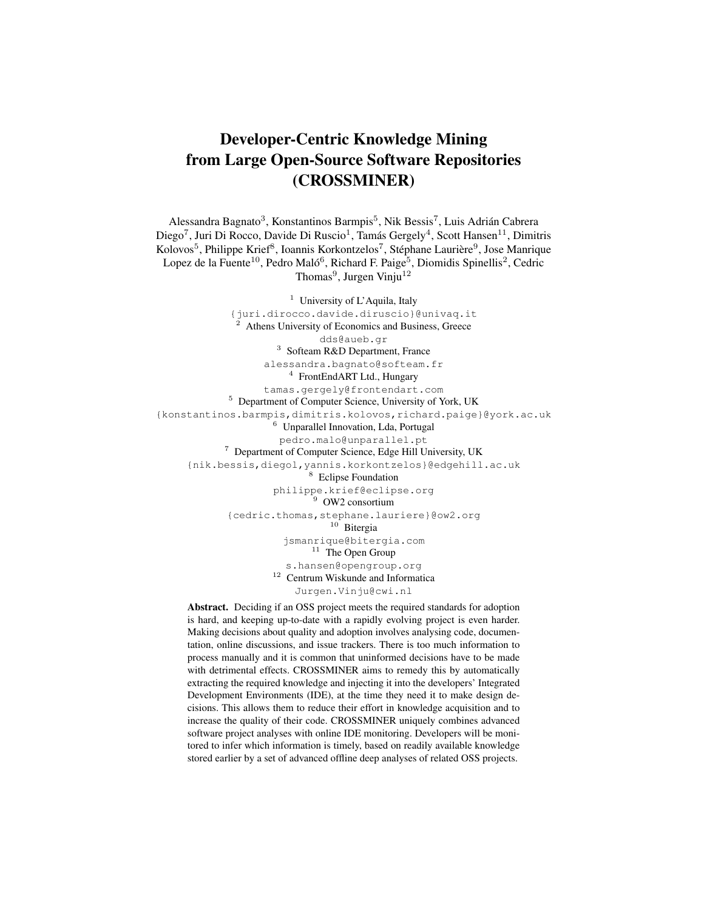# <span id="page-0-0"></span>Developer-Centric Knowledge Mining from Large Open-Source Software Repositories (CROSSMINER)

Alessandra Bagnato<sup>3</sup>, Konstantinos Barmpis<sup>5</sup>, Nik Bessis<sup>7</sup>, Luis Adrián Cabrera Diego<sup>7</sup>, Juri Di Rocco, Davide Di Ruscio<sup>1</sup>, Tamás Gergely<sup>4</sup>, Scott Hansen<sup>11</sup>, Dimitris Kolovos<sup>5</sup>, Philippe Krief<sup>8</sup>, Ioannis Korkontzelos<sup>7</sup>, Stéphane Laurière<sup>9</sup>, Jose Manrique Lopez de la Fuente $^{10}$ , Pedro Maló $^6$ , Richard F. Paige $^5$ , Diomidis Spinellis<sup>2</sup>, Cedric Thomas<sup>9</sup>, Jurgen Vinju<sup>12</sup>

<sup>1</sup> University of L'Aquila, Italy {juri.dirocco.davide.diruscio}@univaq.it Athens University of Economics and Business, Greece dds@aueb.gr <sup>3</sup> Softeam R&D Department, France alessandra.bagnato@softeam.fr <sup>4</sup> FrontEndART Ltd., Hungary tamas.gergely@frontendart.com <sup>5</sup> Department of Computer Science, University of York, UK {konstantinos.barmpis,dimitris.kolovos,richard.paige}@york.ac.uk <sup>6</sup> Unparallel Innovation, Lda, Portugal pedro.malo@unparallel.pt <sup>7</sup> Department of Computer Science, Edge Hill University, UK {nik.bessis,diegol,yannis.korkontzelos}@edgehill.ac.uk <sup>8</sup> Eclipse Foundation philippe.krief@eclipse.org <sup>9</sup> OW2 consortium {cedric.thomas,stephane.lauriere}@ow2.org <sup>10</sup> Bitergia jsmanrique@bitergia.com  $11$ <sup>11</sup> The Open Group s.hansen@opengroup.org <sup>12</sup> Centrum Wiskunde and Informatica Jurgen.Vinju@cwi.nl

Abstract. Deciding if an OSS project meets the required standards for adoption is hard, and keeping up-to-date with a rapidly evolving project is even harder. Making decisions about quality and adoption involves analysing code, documentation, online discussions, and issue trackers. There is too much information to process manually and it is common that uninformed decisions have to be made with detrimental effects. CROSSMINER aims to remedy this by automatically extracting the required knowledge and injecting it into the developers' Integrated Development Environments (IDE), at the time they need it to make design decisions. This allows them to reduce their effort in knowledge acquisition and to increase the quality of their code. CROSSMINER uniquely combines advanced software project analyses with online IDE monitoring. Developers will be monitored to infer which information is timely, based on readily available knowledge stored earlier by a set of advanced offline deep analyses of related OSS projects.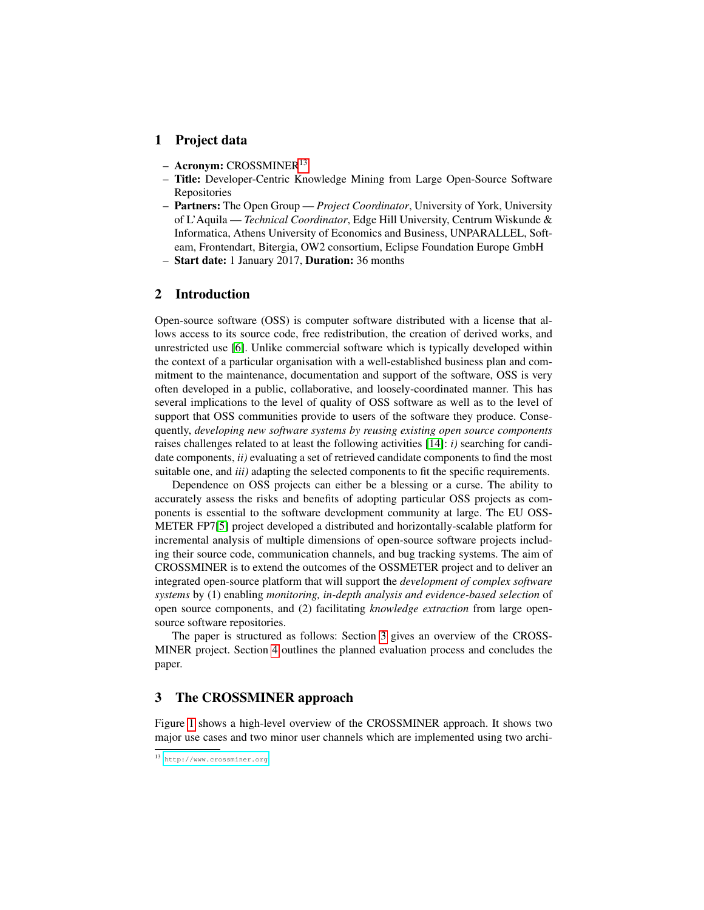# 1 Project data

- Acronym: CROSSMINER[13](#page-0-0)
- Title: Developer-Centric Knowledge Mining from Large Open-Source Software Repositories
- Partners: The Open Group *Project Coordinator*, University of York, University of L'Aquila — *Technical Coordinator*, Edge Hill University, Centrum Wiskunde & Informatica, Athens University of Economics and Business, UNPARALLEL, Softeam, Frontendart, Bitergia, OW2 consortium, Eclipse Foundation Europe GmbH
- Start date: 1 January 2017, Duration: 36 months

## 2 Introduction

Open-source software (OSS) is computer software distributed with a license that allows access to its source code, free redistribution, the creation of derived works, and unrestricted use [\[6\]](#page-7-0). Unlike commercial software which is typically developed within the context of a particular organisation with a well-established business plan and commitment to the maintenance, documentation and support of the software, OSS is very often developed in a public, collaborative, and loosely-coordinated manner. This has several implications to the level of quality of OSS software as well as to the level of support that OSS communities provide to users of the software they produce. Consequently, *developing new software systems by reusing existing open source components* raises challenges related to at least the following activities [\[14\]](#page-8-0): *i)* searching for candidate components, *ii)* evaluating a set of retrieved candidate components to find the most suitable one, and *iii*) adapting the selected components to fit the specific requirements.

Dependence on OSS projects can either be a blessing or a curse. The ability to accurately assess the risks and benefits of adopting particular OSS projects as components is essential to the software development community at large. The EU OSS-METER FP7[\[5\]](#page-7-1) project developed a distributed and horizontally-scalable platform for incremental analysis of multiple dimensions of open-source software projects including their source code, communication channels, and bug tracking systems. The aim of CROSSMINER is to extend the outcomes of the OSSMETER project and to deliver an integrated open-source platform that will support the *development of complex software systems* by (1) enabling *monitoring, in-depth analysis and evidence-based selection* of open source components, and (2) facilitating *knowledge extraction* from large opensource software repositories.

The paper is structured as follows: Section [3](#page-1-0) gives an overview of the CROSS-MINER project. Section [4](#page-7-2) outlines the planned evaluation process and concludes the paper.

## <span id="page-1-0"></span>3 The CROSSMINER approach

Figure [1](#page-2-0) shows a high-level overview of the CROSSMINER approach. It shows two major use cases and two minor user channels which are implemented using two archi-

<sup>13</sup> <http://www.crossminer.org>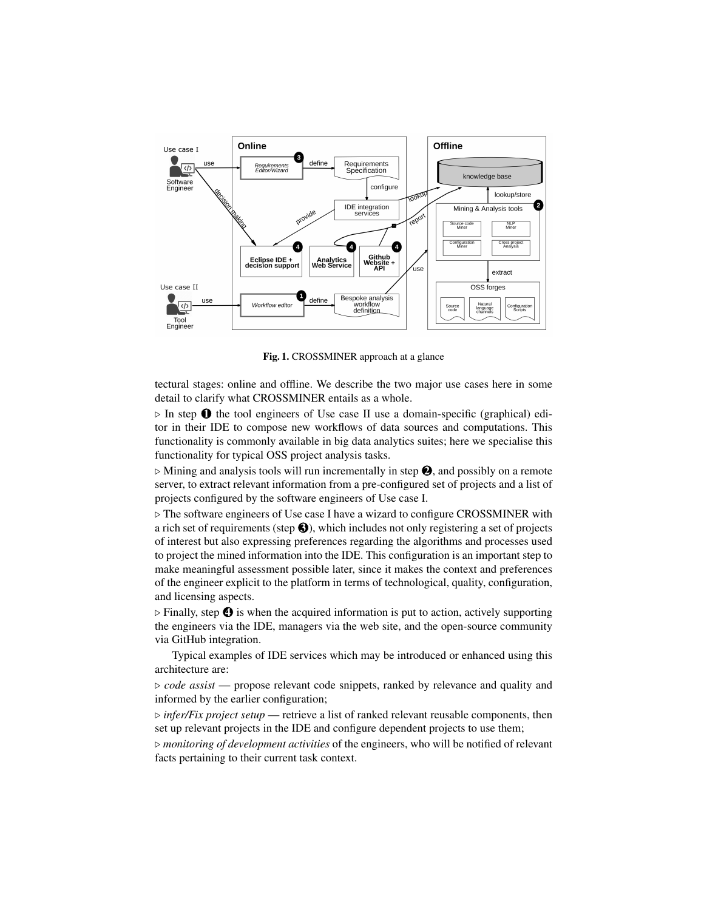

<span id="page-2-0"></span>Fig. 1. CROSSMINER approach at a glance

tectural stages: online and offline. We describe the two major use cases here in some detail to clarify what CROSSMINER entails as a whole.

 $\triangleright$  In step  $\bullet$  the tool engineers of Use case II use a domain-specific (graphical) editor in their IDE to compose new workflows of data sources and computations. This functionality is commonly available in big data analytics suites; here we specialise this functionality for typical OSS project analysis tasks.

 $\triangleright$  Mining and analysis tools will run incrementally in step  $\bigcirc$ , and possibly on a remote server, to extract relevant information from a pre-configured set of projects and a list of projects configured by the software engineers of Use case I.

 $\triangleright$  The software engineers of Use case I have a wizard to configure CROSSMINER with a rich set of requirements (step  $\bigcirc$ ), which includes not only registering a set of projects of interest but also expressing preferences regarding the algorithms and processes used to project the mined information into the IDE. This configuration is an important step to make meaningful assessment possible later, since it makes the context and preferences of the engineer explicit to the platform in terms of technological, quality, configuration, and licensing aspects.

 $\triangleright$  Finally, step  $\bullet$  is when the acquired information is put to action, actively supporting the engineers via the IDE, managers via the web site, and the open-source community via GitHub integration.

Typical examples of IDE services which may be introduced or enhanced using this architecture are:

 $\triangleright$  *code assist* — propose relevant code snippets, ranked by relevance and quality and informed by the earlier configuration;

 $\triangleright$  *infer/Fix project setup* — retrieve a list of ranked relevant reusable components, then set up relevant projects in the IDE and configure dependent projects to use them;

. *monitoring of development activities* of the engineers, who will be notified of relevant facts pertaining to their current task context.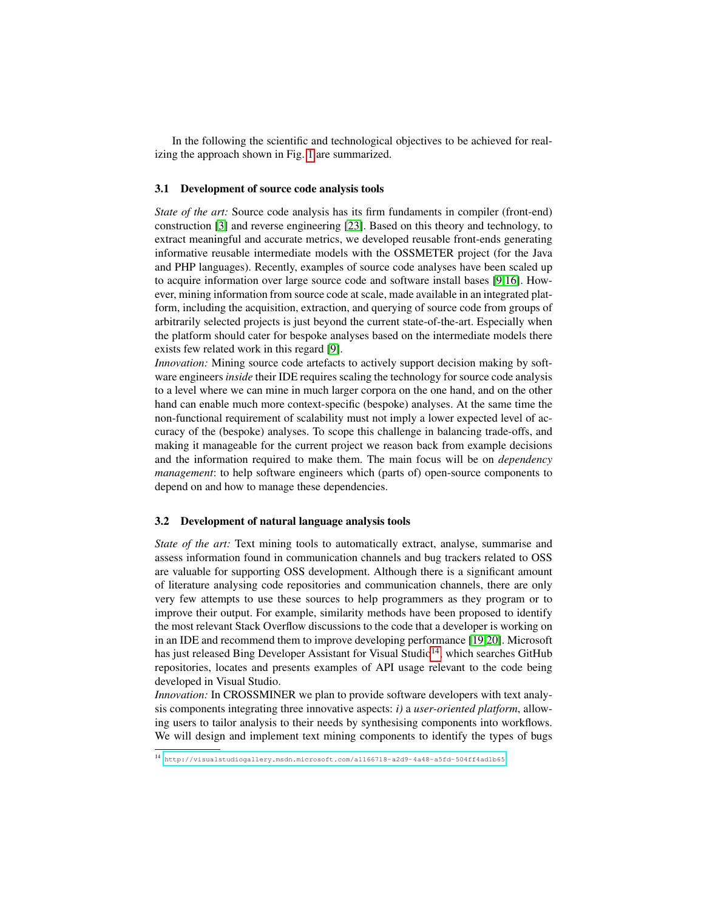In the following the scientific and technological objectives to be achieved for realizing the approach shown in Fig. [1](#page-2-0) are summarized.

#### 3.1 Development of source code analysis tools

*State of the art:* Source code analysis has its firm fundaments in compiler (front-end) construction [\[3\]](#page-7-3) and reverse engineering [\[23\]](#page-8-1). Based on this theory and technology, to extract meaningful and accurate metrics, we developed reusable front-ends generating informative reusable intermediate models with the OSSMETER project (for the Java and PHP languages). Recently, examples of source code analyses have been scaled up to acquire information over large source code and software install bases [\[9](#page-7-4)[,16\]](#page-8-2). However, mining information from source code at scale, made available in an integrated platform, including the acquisition, extraction, and querying of source code from groups of arbitrarily selected projects is just beyond the current state-of-the-art. Especially when the platform should cater for bespoke analyses based on the intermediate models there exists few related work in this regard [\[9\]](#page-7-4).

*Innovation:* Mining source code artefacts to actively support decision making by software engineers *inside* their IDE requires scaling the technology for source code analysis to a level where we can mine in much larger corpora on the one hand, and on the other hand can enable much more context-specific (bespoke) analyses. At the same time the non-functional requirement of scalability must not imply a lower expected level of accuracy of the (bespoke) analyses. To scope this challenge in balancing trade-offs, and making it manageable for the current project we reason back from example decisions and the information required to make them. The main focus will be on *dependency management*: to help software engineers which (parts of) open-source components to depend on and how to manage these dependencies.

#### 3.2 Development of natural language analysis tools

*State of the art:* Text mining tools to automatically extract, analyse, summarise and assess information found in communication channels and bug trackers related to OSS are valuable for supporting OSS development. Although there is a significant amount of literature analysing code repositories and communication channels, there are only very few attempts to use these sources to help programmers as they program or to improve their output. For example, similarity methods have been proposed to identify the most relevant Stack Overflow discussions to the code that a developer is working on in an IDE and recommend them to improve developing performance [\[19,](#page-8-3)[20\]](#page-8-4). Microsoft has just released Bing Developer Assistant for Visual Studio<sup>[14](#page-0-0)</sup>, which searches GitHub repositories, locates and presents examples of API usage relevant to the code being developed in Visual Studio.

*Innovation:* In CROSSMINER we plan to provide software developers with text analysis components integrating three innovative aspects: *i)* a *user-oriented platform*, allowing users to tailor analysis to their needs by synthesising components into workflows. We will design and implement text mining components to identify the types of bugs

<sup>14</sup> <http://visualstudiogallery.msdn.microsoft.com/a1166718-a2d9-4a48-a5fd-504ff4ad1b65>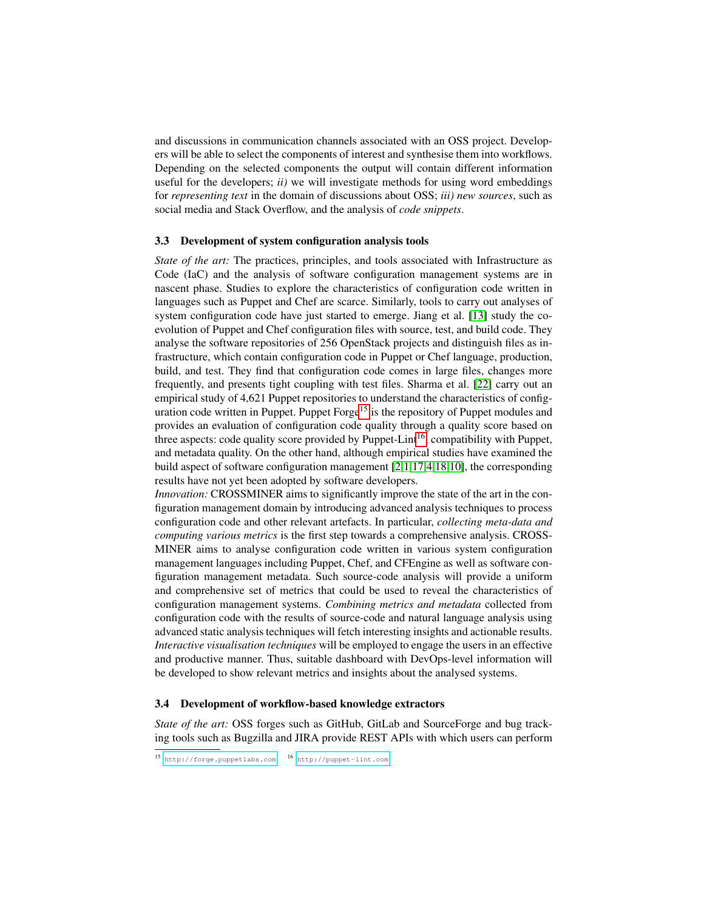and discussions in communication channels associated with an OSS project. Developers will be able to select the components of interest and synthesise them into workflows. Depending on the selected components the output will contain different information useful for the developers; *ii)* we will investigate methods for using word embeddings for *representing text* in the domain of discussions about OSS; *iii) new sources*, such as social media and Stack Overflow, and the analysis of *code snippets*.

#### 3.3 Development of system configuration analysis tools

*State of the art:* The practices, principles, and tools associated with Infrastructure as Code (IaC) and the analysis of software configuration management systems are in nascent phase. Studies to explore the characteristics of configuration code written in languages such as Puppet and Chef are scarce. Similarly, tools to carry out analyses of system configuration code have just started to emerge. Jiang et al. [\[13\]](#page-8-5) study the coevolution of Puppet and Chef configuration files with source, test, and build code. They analyse the software repositories of 256 OpenStack projects and distinguish files as infrastructure, which contain configuration code in Puppet or Chef language, production, build, and test. They find that configuration code comes in large files, changes more frequently, and presents tight coupling with test files. Sharma et al. [\[22\]](#page-8-6) carry out an empirical study of 4,621 Puppet repositories to understand the characteristics of config-uration code written in Puppet. Puppet Forge<sup>[15](#page-0-0)</sup> is the repository of Puppet modules and provides an evaluation of configuration code quality through a quality score based on three aspects: code quality score provided by Puppet-Lint<sup>[16](#page-0-0)</sup>, compatibility with Puppet, and metadata quality. On the other hand, although empirical studies have examined the build aspect of software configuration management [\[2,](#page-7-5)[1,](#page-7-6)[17,](#page-8-7)[4,](#page-7-7)[18,](#page-8-8)[10\]](#page-7-8), the corresponding results have not yet been adopted by software developers.

*Innovation:* CROSSMINER aims to significantly improve the state of the art in the configuration management domain by introducing advanced analysis techniques to process configuration code and other relevant artefacts. In particular, *collecting meta-data and computing various metrics* is the first step towards a comprehensive analysis. CROSS-MINER aims to analyse configuration code written in various system configuration management languages including Puppet, Chef, and CFEngine as well as software configuration management metadata. Such source-code analysis will provide a uniform and comprehensive set of metrics that could be used to reveal the characteristics of configuration management systems. *Combining metrics and metadata* collected from configuration code with the results of source-code and natural language analysis using advanced static analysis techniques will fetch interesting insights and actionable results. *Interactive visualisation techniques* will be employed to engage the users in an effective and productive manner. Thus, suitable dashboard with DevOps-level information will be developed to show relevant metrics and insights about the analysed systems.

#### 3.4 Development of workflow-based knowledge extractors

*State of the art:* OSS forges such as GitHub, GitLab and SourceForge and bug tracking tools such as Bugzilla and JIRA provide REST APIs with which users can perform

<sup>15</sup> <http://forge.puppetlabs.com> <sup>16</sup> <http://puppet-lint.com>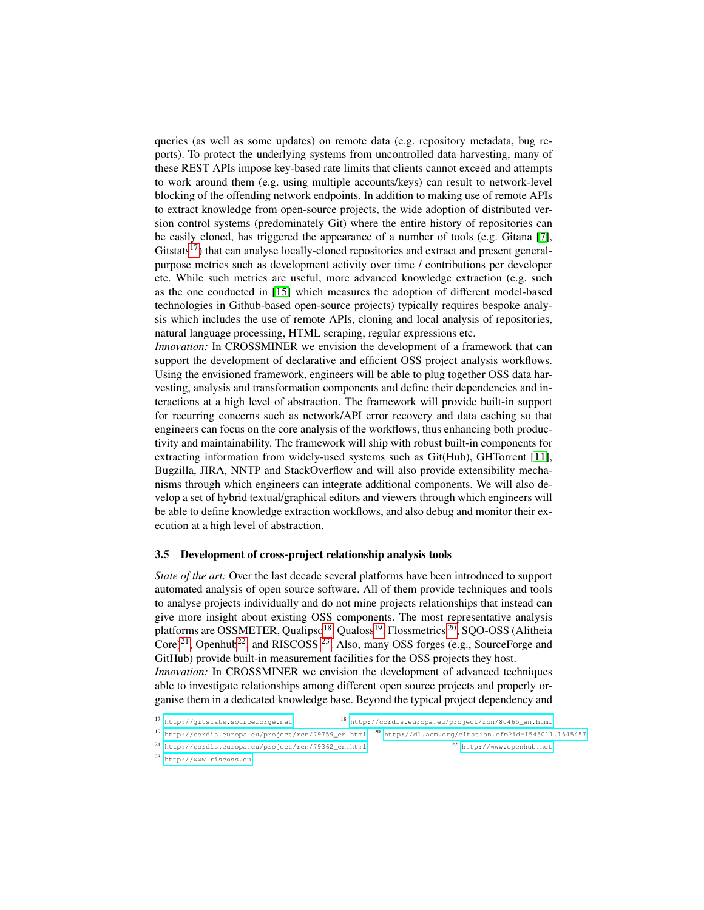queries (as well as some updates) on remote data (e.g. repository metadata, bug reports). To protect the underlying systems from uncontrolled data harvesting, many of these REST APIs impose key-based rate limits that clients cannot exceed and attempts to work around them (e.g. using multiple accounts/keys) can result to network-level blocking of the offending network endpoints. In addition to making use of remote APIs to extract knowledge from open-source projects, the wide adoption of distributed version control systems (predominately Git) where the entire history of repositories can be easily cloned, has triggered the appearance of a number of tools (e.g. Gitana [\[7\]](#page-7-9), Gitstats<sup>[17](#page-0-0)</sup>) that can analyse locally-cloned repositories and extract and present generalpurpose metrics such as development activity over time / contributions per developer etc. While such metrics are useful, more advanced knowledge extraction (e.g. such as the one conducted in [\[15\]](#page-8-9) which measures the adoption of different model-based technologies in Github-based open-source projects) typically requires bespoke analysis which includes the use of remote APIs, cloning and local analysis of repositories, natural language processing, HTML scraping, regular expressions etc.

*Innovation:* In CROSSMINER we envision the development of a framework that can support the development of declarative and efficient OSS project analysis workflows. Using the envisioned framework, engineers will be able to plug together OSS data harvesting, analysis and transformation components and define their dependencies and interactions at a high level of abstraction. The framework will provide built-in support for recurring concerns such as network/API error recovery and data caching so that engineers can focus on the core analysis of the workflows, thus enhancing both productivity and maintainability. The framework will ship with robust built-in components for extracting information from widely-used systems such as Git(Hub), GHTorrent [\[11\]](#page-7-10), Bugzilla, JIRA, NNTP and StackOverflow and will also provide extensibility mechanisms through which engineers can integrate additional components. We will also develop a set of hybrid textual/graphical editors and viewers through which engineers will be able to define knowledge extraction workflows, and also debug and monitor their execution at a high level of abstraction.

#### 3.5 Development of cross-project relationship analysis tools

*State of the art:* Over the last decade several platforms have been introduced to support automated analysis of open source software. All of them provide techniques and tools to analyse projects individually and do not mine projects relationships that instead can give more insight about existing OSS components. The most representative analysis platforms are OSSMETER, Qualipso<sup>[18](#page-0-0)</sup>, Qualoss<sup>[19](#page-0-0)</sup>, Flossmetrics<sup>[20](#page-0-0)</sup>, SQO-OSS (Alitheia  $\text{Core}$ )<sup>[21](#page-0-0)</sup>, Openhub<sup>[22](#page-0-0)</sup>, and RISCOSS<sup>[23](#page-0-0)</sup>. Also, many OSS forges (e.g., SourceForge and GitHub) provide built-in measurement facilities for the OSS projects they host. *Innovation:* In CROSSMINER we envision the development of advanced techniques able to investigate relationships among different open source projects and properly organise them in a dedicated knowledge base. Beyond the typical project dependency and

 $^\mathrm{17}$ <http://gitstats.sourceforge.net> 18 [http://cordis.europa.eu/project/rcn/80465\\_en.html](http://cordis.europa.eu/project/rcn/80465_en.html)

<sup>19</sup> [http://cordis.europa.eu/project/rcn/79759\\_en.html](http://cordis.europa.eu/project/rcn/79759_en.html) <sup>20</sup> <http://dl.acm.org/citation.cfm?id=1545011.1545457>

<sup>21</sup> [http://cordis.europa.eu/project/rcn/79362\\_en.html](http://cordis.europa.eu/project/rcn/79362_en.html) <sup>22</sup> <http://www.openhub.net>

<sup>23</sup> <http://www.riscoss.eu>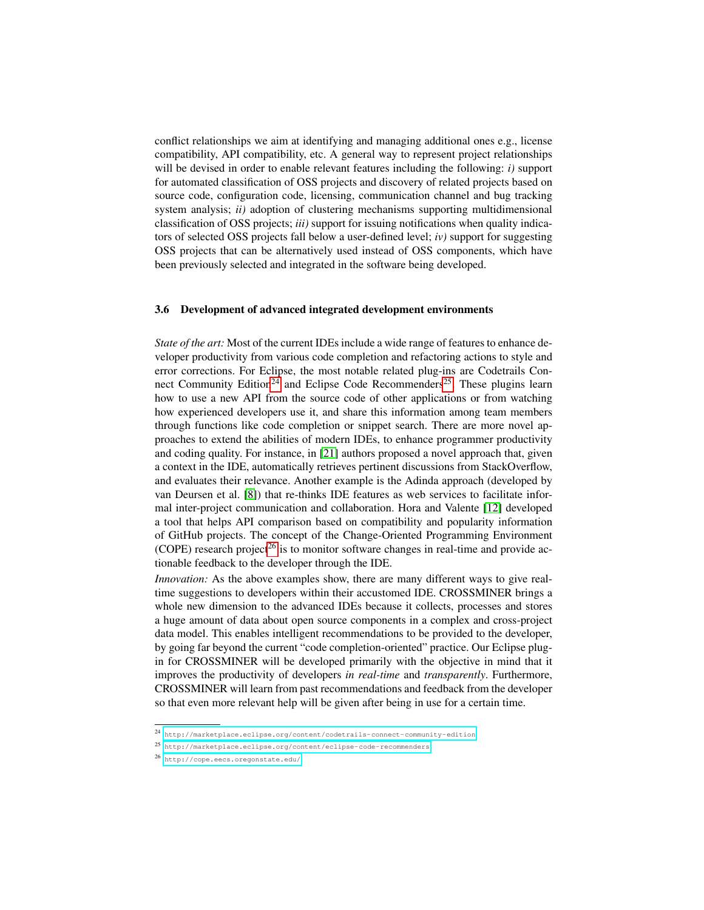conflict relationships we aim at identifying and managing additional ones e.g., license compatibility, API compatibility, etc. A general way to represent project relationships will be devised in order to enable relevant features including the following: *i)* support for automated classification of OSS projects and discovery of related projects based on source code, configuration code, licensing, communication channel and bug tracking system analysis; *ii*) adoption of clustering mechanisms supporting multidimensional classification of OSS projects; *iii)* support for issuing notifications when quality indicators of selected OSS projects fall below a user-defined level;  $iv)$  support for suggesting OSS projects that can be alternatively used instead of OSS components, which have been previously selected and integrated in the software being developed.

## 3.6 Development of advanced integrated development environments

*State of the art:* Most of the current IDEs include a wide range of features to enhance developer productivity from various code completion and refactoring actions to style and error corrections. For Eclipse, the most notable related plug-ins are Codetrails Con-nect Community Edition<sup>[24](#page-0-0)</sup> and Eclipse Code Recommenders<sup>[25](#page-0-0)</sup>. These plugins learn how to use a new API from the source code of other applications or from watching how experienced developers use it, and share this information among team members through functions like code completion or snippet search. There are more novel approaches to extend the abilities of modern IDEs, to enhance programmer productivity and coding quality. For instance, in [\[21\]](#page-8-10) authors proposed a novel approach that, given a context in the IDE, automatically retrieves pertinent discussions from StackOverflow, and evaluates their relevance. Another example is the Adinda approach (developed by van Deursen et al. [\[8\]](#page-7-11)) that re-thinks IDE features as web services to facilitate informal inter-project communication and collaboration. Hora and Valente [\[12\]](#page-8-11) developed a tool that helps API comparison based on compatibility and popularity information of GitHub projects. The concept of the Change-Oriented Programming Environment (COPE) research project<sup>[26](#page-0-0)</sup> is to monitor software changes in real-time and provide actionable feedback to the developer through the IDE.

*Innovation:* As the above examples show, there are many different ways to give realtime suggestions to developers within their accustomed IDE. CROSSMINER brings a whole new dimension to the advanced IDEs because it collects, processes and stores a huge amount of data about open source components in a complex and cross-project data model. This enables intelligent recommendations to be provided to the developer, by going far beyond the current "code completion-oriented" practice. Our Eclipse plugin for CROSSMINER will be developed primarily with the objective in mind that it improves the productivity of developers *in real-time* and *transparently*. Furthermore, CROSSMINER will learn from past recommendations and feedback from the developer so that even more relevant help will be given after being in use for a certain time.

<sup>24</sup> <http://marketplace.eclipse.org/content/codetrails-connect-community-edition>

<sup>25</sup> <http://marketplace.eclipse.org/content/eclipse-code-recommenders>

<sup>26</sup> <http://cope.eecs.oregonstate.edu/>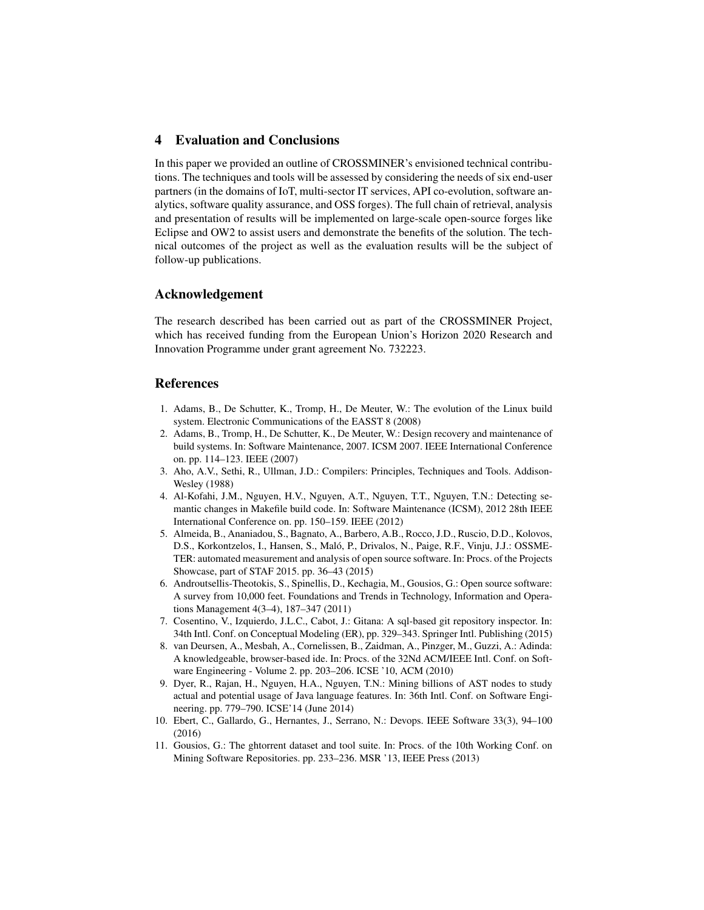## <span id="page-7-2"></span>4 Evaluation and Conclusions

In this paper we provided an outline of CROSSMINER's envisioned technical contributions. The techniques and tools will be assessed by considering the needs of six end-user partners (in the domains of IoT, multi-sector IT services, API co-evolution, software analytics, software quality assurance, and OSS forges). The full chain of retrieval, analysis and presentation of results will be implemented on large-scale open-source forges like Eclipse and OW2 to assist users and demonstrate the benefits of the solution. The technical outcomes of the project as well as the evaluation results will be the subject of follow-up publications.

## Acknowledgement

The research described has been carried out as part of the CROSSMINER Project, which has received funding from the European Union's Horizon 2020 Research and Innovation Programme under grant agreement No. 732223.

## References

- <span id="page-7-6"></span>1. Adams, B., De Schutter, K., Tromp, H., De Meuter, W.: The evolution of the Linux build system. Electronic Communications of the EASST 8 (2008)
- <span id="page-7-5"></span>2. Adams, B., Tromp, H., De Schutter, K., De Meuter, W.: Design recovery and maintenance of build systems. In: Software Maintenance, 2007. ICSM 2007. IEEE International Conference on. pp. 114–123. IEEE (2007)
- <span id="page-7-3"></span>3. Aho, A.V., Sethi, R., Ullman, J.D.: Compilers: Principles, Techniques and Tools. Addison-Wesley (1988)
- <span id="page-7-7"></span>4. Al-Kofahi, J.M., Nguyen, H.V., Nguyen, A.T., Nguyen, T.T., Nguyen, T.N.: Detecting semantic changes in Makefile build code. In: Software Maintenance (ICSM), 2012 28th IEEE International Conference on. pp. 150–159. IEEE (2012)
- <span id="page-7-1"></span>5. Almeida, B., Ananiadou, S., Bagnato, A., Barbero, A.B., Rocco, J.D., Ruscio, D.D., Kolovos, D.S., Korkontzelos, I., Hansen, S., Maló, P., Drivalos, N., Paige, R.F., Vinju, J.J.: OSSME-TER: automated measurement and analysis of open source software. In: Procs. of the Projects Showcase, part of STAF 2015. pp. 36–43 (2015)
- <span id="page-7-0"></span>6. Androutsellis-Theotokis, S., Spinellis, D., Kechagia, M., Gousios, G.: Open source software: A survey from 10,000 feet. Foundations and Trends in Technology, Information and Operations Management 4(3–4), 187–347 (2011)
- <span id="page-7-9"></span>7. Cosentino, V., Izquierdo, J.L.C., Cabot, J.: Gitana: A sql-based git repository inspector. In: 34th Intl. Conf. on Conceptual Modeling (ER), pp. 329–343. Springer Intl. Publishing (2015)
- <span id="page-7-11"></span>8. van Deursen, A., Mesbah, A., Cornelissen, B., Zaidman, A., Pinzger, M., Guzzi, A.: Adinda: A knowledgeable, browser-based ide. In: Procs. of the 32Nd ACM/IEEE Intl. Conf. on Software Engineering - Volume 2. pp. 203–206. ICSE '10, ACM (2010)
- <span id="page-7-4"></span>9. Dyer, R., Rajan, H., Nguyen, H.A., Nguyen, T.N.: Mining billions of AST nodes to study actual and potential usage of Java language features. In: 36th Intl. Conf. on Software Engineering. pp. 779–790. ICSE'14 (June 2014)
- <span id="page-7-8"></span>10. Ebert, C., Gallardo, G., Hernantes, J., Serrano, N.: Devops. IEEE Software 33(3), 94–100 (2016)
- <span id="page-7-10"></span>11. Gousios, G.: The ghtorrent dataset and tool suite. In: Procs. of the 10th Working Conf. on Mining Software Repositories. pp. 233–236. MSR '13, IEEE Press (2013)